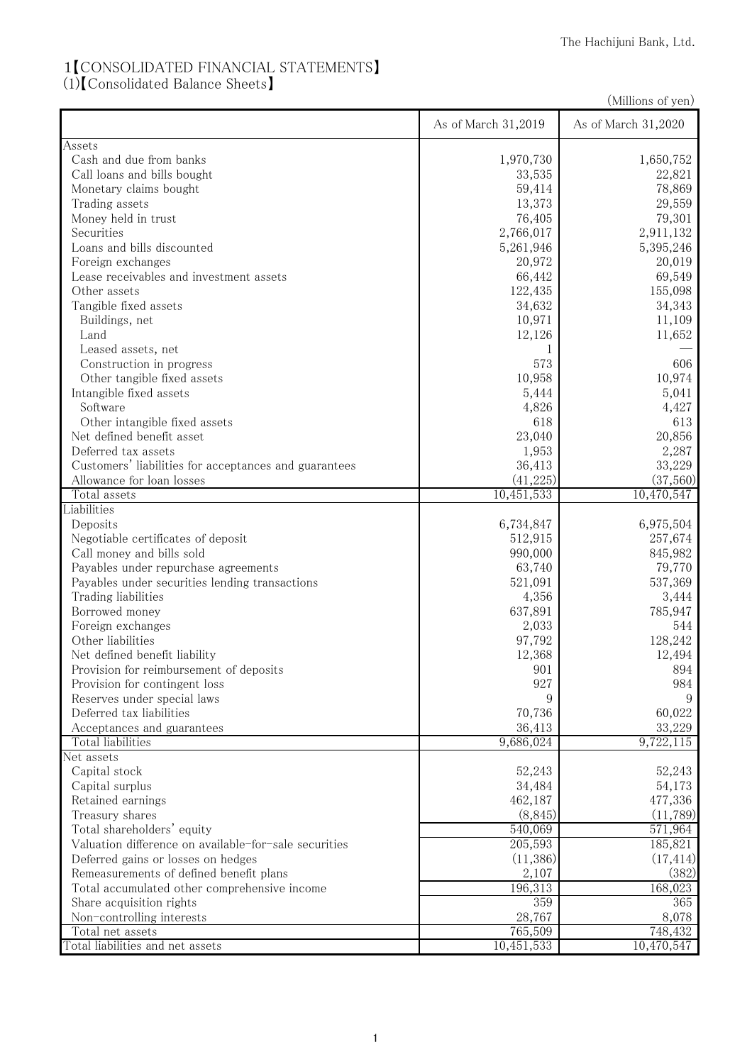## 1【CONSOLIDATED FINANCIAL STATEMENTS】

(1)【Consolidated Balance Sheets】

|                                                       |                      | (Millions of yen)    |
|-------------------------------------------------------|----------------------|----------------------|
|                                                       | As of March 31,2019  | As of March 31,2020  |
| Assets                                                |                      |                      |
| Cash and due from banks                               | 1,970,730            | 1,650,752            |
| Call loans and bills bought                           | 33,535               | 22,821               |
| Monetary claims bought                                | 59,414               | 78,869               |
| Trading assets                                        | 13,373               | 29,559               |
| Money held in trust                                   | 76,405               | 79,301               |
| Securities                                            | 2,766,017            | 2,911,132            |
| Loans and bills discounted                            | 5,261,946            | 5,395,246            |
| Foreign exchanges                                     | 20,972               | 20,019               |
| Lease receivables and investment assets               | 66,442               | 69,549               |
| Other assets                                          | 122,435              | 155,098              |
| Tangible fixed assets                                 | 34,632               | 34,343               |
| Buildings, net                                        | 10,971               | 11,109               |
| Land                                                  | 12,126               | 11,652               |
| Leased assets, net                                    | 1                    |                      |
| Construction in progress                              | 573                  | 606                  |
| Other tangible fixed assets                           | 10,958               | 10,974               |
| Intangible fixed assets                               | 5,444                | 5,041                |
| Software                                              | 4,826                | 4,427                |
| Other intangible fixed assets                         | 618                  | 613                  |
| Net defined benefit asset                             | 23,040               | 20,856               |
| Deferred tax assets                                   | 1,953                | 2,287                |
| Customers' liabilities for acceptances and guarantees | 36,413               | 33,229               |
| Allowance for loan losses                             | (41, 225)            | (37,560)             |
| Total assets                                          | 10,451,533           | 10,470,547           |
| Liabilities                                           |                      |                      |
| Deposits<br>Negotiable certificates of deposit        | 6,734,847<br>512,915 | 6,975,504<br>257,674 |
| Call money and bills sold                             | 990,000              | 845,982              |
| Payables under repurchase agreements                  | 63,740               | 79,770               |
| Payables under securities lending transactions        | 521,091              | 537,369              |
| Trading liabilities                                   | 4,356                | 3,444                |
| Borrowed money                                        | 637,891              | 785,947              |
| Foreign exchanges                                     | 2,033                | 544                  |
| Other liabilities                                     | 97,792               | 128,242              |
| Net defined benefit liability                         | 12,368               | 12,494               |
| Provision for reimbursement of deposits               | 901                  | 894                  |
| Provision for contingent loss                         | 927                  | 984                  |
| Reserves under special laws                           | 9                    | 9                    |
| Deferred tax liabilities                              | 70,736               | 60,022               |
| Acceptances and guarantees                            | 36,413               | 33,229               |
| Total liabilities                                     | 9,686,024            | 9,722,115            |
| Net assets                                            |                      |                      |
| Capital stock                                         | 52,243               | 52,243               |
| Capital surplus                                       | 34,484               | 54,173               |
| Retained earnings                                     | 462,187              | 477,336              |
| Treasury shares                                       | (8, 845)             | (11,789)             |
| Total shareholders' equity                            | 540,069              | 571,964              |
| Valuation difference on available-for-sale securities | 205,593              | 185,821              |
| Deferred gains or losses on hedges                    | (11,386)             | (17, 414)            |
| Remeasurements of defined benefit plans               | 2,107                | (382)                |
| Total accumulated other comprehensive income          | 196,313              | 168,023              |
| Share acquisition rights                              | 359                  | 365                  |
| Non-controlling interests                             | 28,767               | 8,078                |
| Total net assets                                      | 765,509              | 748,432              |
| Total liabilities and net assets                      | 10,451,533           | 10,470,547           |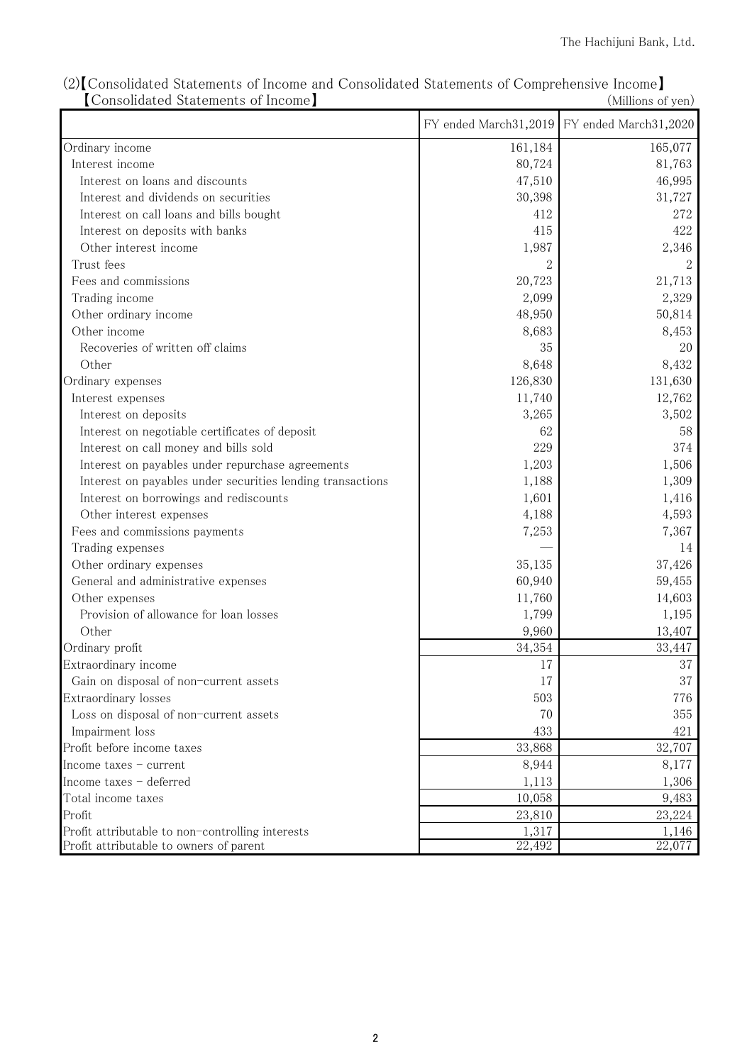|                                                            |         | FY ended March31,2019 FY ended March31,2020 |
|------------------------------------------------------------|---------|---------------------------------------------|
| Ordinary income                                            | 161,184 | 165,077                                     |
| Interest income                                            | 80,724  | 81,763                                      |
| Interest on loans and discounts                            | 47,510  | 46,995                                      |
| Interest and dividends on securities                       | 30,398  | 31,727                                      |
| Interest on call loans and bills bought                    | 412     | 272                                         |
| Interest on deposits with banks                            | 415     | 422                                         |
| Other interest income                                      | 1,987   | 2,346                                       |
| Trust fees                                                 | 2       |                                             |
| Fees and commissions                                       | 20,723  | 21,713                                      |
| Trading income                                             | 2,099   | 2,329                                       |
| Other ordinary income                                      | 48,950  | 50,814                                      |
| Other income                                               | 8,683   | 8,453                                       |
| Recoveries of written off claims                           | 35      | 20                                          |
| Other                                                      | 8,648   | 8,432                                       |
| Ordinary expenses                                          | 126,830 | 131,630                                     |
| Interest expenses                                          | 11,740  | 12,762                                      |
| Interest on deposits                                       | 3,265   | 3,502                                       |
| Interest on negotiable certificates of deposit             | 62      | 58                                          |
| Interest on call money and bills sold                      | 229     | 374                                         |
| Interest on payables under repurchase agreements           | 1,203   | 1,506                                       |
| Interest on payables under securities lending transactions | 1,188   | 1,309                                       |
| Interest on borrowings and rediscounts                     | 1,601   | 1,416                                       |
| Other interest expenses                                    | 4,188   | 4,593                                       |
| Fees and commissions payments                              | 7,253   | 7,367                                       |
| Trading expenses                                           |         | 14                                          |
| Other ordinary expenses                                    | 35,135  | 37,426                                      |
| General and administrative expenses                        | 60,940  | 59,455                                      |
| Other expenses                                             | 11,760  | 14,603                                      |
| Provision of allowance for loan losses                     | 1,799   | 1,195                                       |
| Other                                                      | 9,960   | 13,407                                      |
| Ordinary profit                                            | 34,354  | 33,447                                      |
| Extraordinary income                                       | 17      | 37                                          |
| Gain on disposal of non-current assets                     | 17      | 37                                          |
| Extraordinary losses                                       | 503     | 776                                         |
| Loss on disposal of non-current assets                     | 70      | 355                                         |
| Impairment loss                                            | 433     | 421                                         |
| Profit before income taxes                                 | 33,868  | 32,707                                      |
| Income taxes - current                                     | 8,944   | 8,177                                       |
| Income taxes - deferred                                    | 1,113   | 1,306                                       |
| Total income taxes                                         | 10,058  | 9,483                                       |
| Profit                                                     | 23,810  | 23,224                                      |
| Profit attributable to non-controlling interests           | 1,317   | 1,146                                       |
| Profit attributable to owners of parent                    | 22,492  | 22,077                                      |

(2)【Consolidated Statements of Income and Consolidated Statements of Comprehensive Income】 【Consolidated Statements of Income】 (Millions of yen)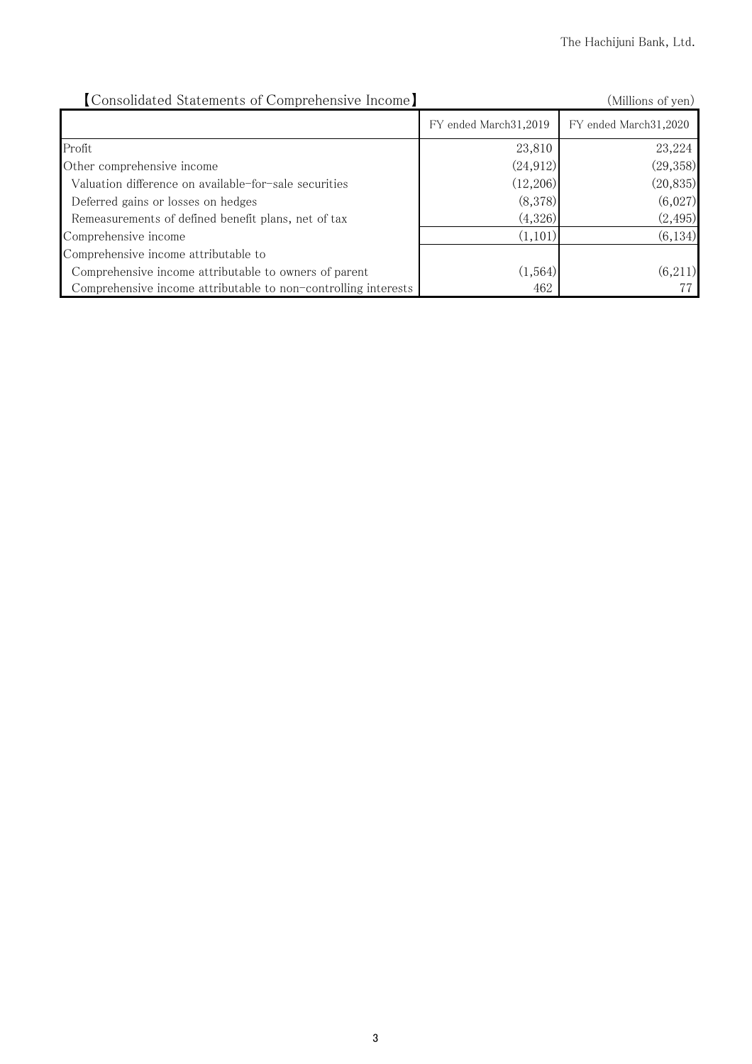| [Consolidated Statements of Comprehensive Income]              |                         | (Millions of yen)     |
|----------------------------------------------------------------|-------------------------|-----------------------|
|                                                                | FY ended March 31, 2019 | FY ended March31,2020 |
| Profit                                                         | 23,810                  | 23,224                |
| Other comprehensive income                                     | (24, 912)               | (29, 358)             |
| Valuation difference on available-for-sale securities          | (12,206)                | (20, 835)             |
| Deferred gains or losses on hedges                             | (8,378)                 | (6,027)               |
| Remeasurements of defined benefit plans, net of tax            | (4,326)                 | (2, 495)              |
| Comprehensive income                                           | (1,101)                 | (6, 134)              |
| Comprehensive income attributable to                           |                         |                       |
| Comprehensive income attributable to owners of parent          | (1, 564)                | (6,211)               |
| Comprehensive income attributable to non-controlling interests | 462                     |                       |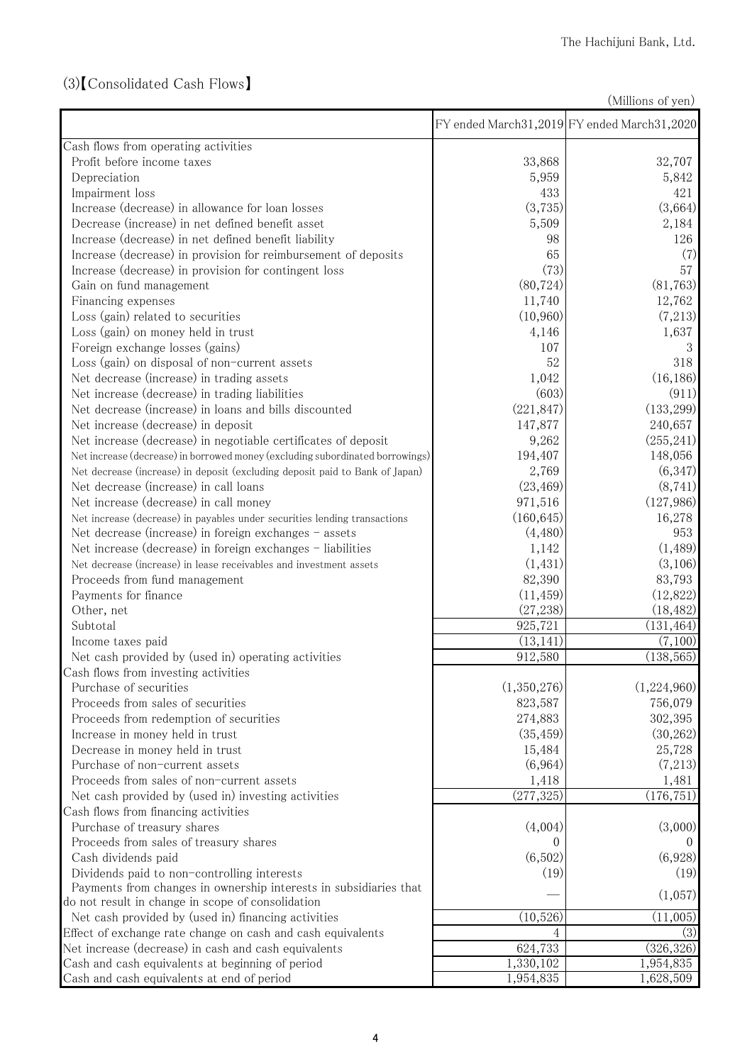## (3)【Consolidated Cash Flows】

(Millions of yen)

|                                                                               |             | FY ended March31,2019 FY ended March31,2020 |
|-------------------------------------------------------------------------------|-------------|---------------------------------------------|
| Cash flows from operating activities                                          |             |                                             |
| Profit before income taxes                                                    | 33,868      | 32,707                                      |
| Depreciation                                                                  | 5,959       | 5,842                                       |
| Impairment loss                                                               | 433         | 421                                         |
| Increase (decrease) in allowance for loan losses                              | (3,735)     | (3,664)                                     |
| Decrease (increase) in net defined benefit asset                              | 5,509       | 2,184                                       |
| Increase (decrease) in net defined benefit liability                          | 98          | 126                                         |
| Increase (decrease) in provision for reimbursement of deposits                | 65          | (7)                                         |
| Increase (decrease) in provision for contingent loss                          | (73)        | 57                                          |
| Gain on fund management                                                       | (80, 724)   | (81, 763)                                   |
| Financing expenses                                                            | 11,740      | 12,762                                      |
| Loss (gain) related to securities                                             | (10,960)    | (7,213)                                     |
| Loss (gain) on money held in trust                                            | 4,146       | 1,637                                       |
| Foreign exchange losses (gains)                                               | 107         | 3                                           |
| Loss (gain) on disposal of non-current assets                                 | 52          | 318                                         |
| Net decrease (increase) in trading assets                                     | 1,042       | (16, 186)                                   |
| Net increase (decrease) in trading liabilities                                | (603)       | (911)                                       |
| Net decrease (increase) in loans and bills discounted                         | (221, 847)  | (133, 299)                                  |
| Net increase (decrease) in deposit                                            | 147,877     | 240,657                                     |
| Net increase (decrease) in negotiable certificates of deposit                 | 9,262       | (255, 241)                                  |
| Net increase (decrease) in borrowed money (excluding subordinated borrowings) | 194,407     | 148,056                                     |
| Net decrease (increase) in deposit (excluding deposit paid to Bank of Japan)  | 2,769       | (6,347)                                     |
| Net decrease (increase) in call loans                                         | (23, 469)   | (8, 741)                                    |
| Net increase (decrease) in call money                                         | 971,516     | (127, 986)                                  |
| Net increase (decrease) in payables under securities lending transactions     | (160, 645)  | 16,278                                      |
| Net decrease (increase) in foreign exchanges - assets                         | (4,480)     | 953                                         |
| Net increase (decrease) in foreign exchanges - liabilities                    | 1,142       | (1,489)                                     |
| Net decrease (increase) in lease receivables and investment assets            | (1, 431)    | (3,106)                                     |
| Proceeds from fund management                                                 | 82,390      | 83,793                                      |
| Payments for finance                                                          | (11, 459)   | (12,822)                                    |
| Other, net                                                                    | (27, 238)   | (18, 482)                                   |
| Subtotal                                                                      | 925,721     | (131, 464)                                  |
| Income taxes paid                                                             | (13, 141)   | (7,100)                                     |
| Net cash provided by (used in) operating activities                           | 912,580     | (138, 565)                                  |
| Cash flows from investing activities                                          |             |                                             |
| Purchase of securities                                                        | (1,350,276) | (1,224,960)                                 |
| Proceeds from sales of securities                                             | 823,587     | 756,079                                     |
| Proceeds from redemption of securities                                        | 274,883     | 302,395                                     |
| Increase in money held in trust                                               | (35, 459)   | (30, 262)                                   |
| Decrease in money held in trust                                               | 15,484      | 25,728                                      |
| Purchase of non-current assets                                                | (6,964)     | (7,213)                                     |
| Proceeds from sales of non-current assets                                     | 1,418       | 1,481                                       |
| Net cash provided by (used in) investing activities                           | (277, 325)  | (176, 751)                                  |
| Cash flows from financing activities                                          |             |                                             |
| Purchase of treasury shares                                                   | (4,004)     | (3,000)                                     |
| Proceeds from sales of treasury shares                                        |             |                                             |
| Cash dividends paid                                                           | (6,502)     | (6,928)                                     |
| Dividends paid to non-controlling interests                                   | (19)        | (19)                                        |
| Payments from changes in ownership interests in subsidiaries that             |             |                                             |
| do not result in change in scope of consolidation                             |             | (1,057)                                     |
| Net cash provided by (used in) financing activities                           | (10,526)    | (11,005)                                    |
| Effect of exchange rate change on cash and cash equivalents                   | 4           | (3)                                         |
| Net increase (decrease) in cash and cash equivalents                          | 624,733     | (326, 326)                                  |
| Cash and cash equivalents at beginning of period                              | 1,330,102   | 1,954,835                                   |
| Cash and cash equivalents at end of period                                    | 1,954,835   | 1,628,509                                   |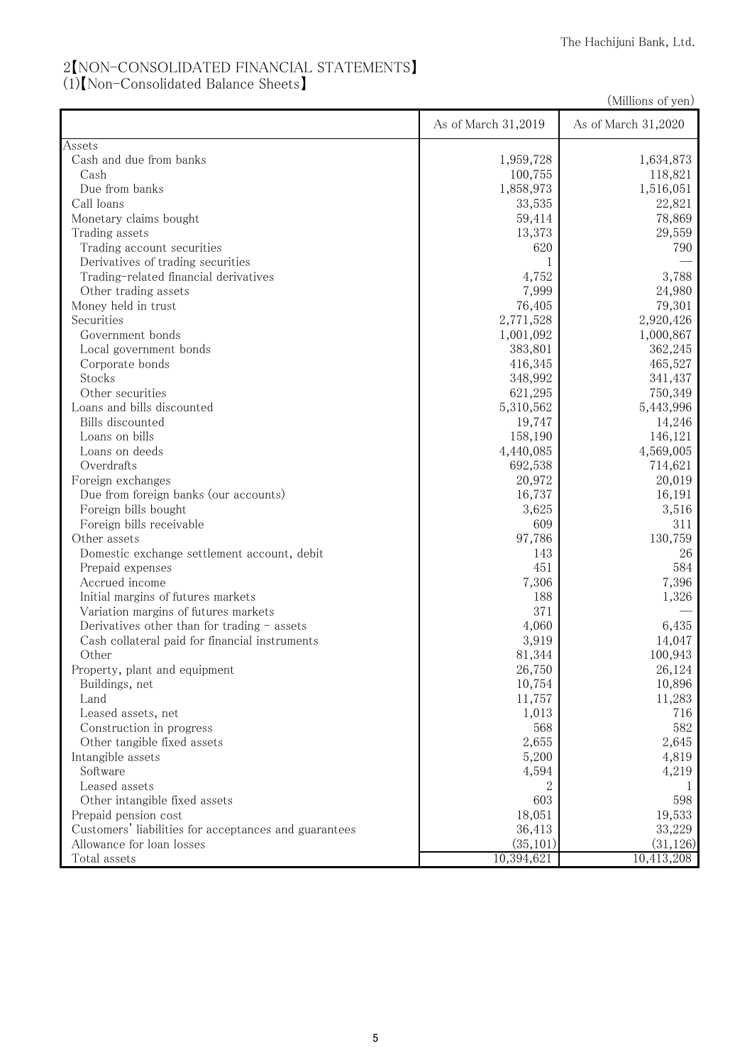## 2【NON-CONSOLIDATED FINANCIAL STATEMENTS】

(1)【Non-Consolidated Balance Sheets】

(Millions of yen)

|                                                       | As of March 31,2019 | As of March 31,2020 |
|-------------------------------------------------------|---------------------|---------------------|
| Assets                                                |                     |                     |
| Cash and due from banks                               | 1,959,728           | 1,634,873           |
| Cash                                                  | 100,755             | 118,821             |
| Due from banks                                        | 1,858,973           | 1,516,051           |
| Call loans                                            | 33,535              | 22,821              |
| Monetary claims bought                                | 59,414              | 78,869              |
| Trading assets                                        | 13,373              | 29,559              |
| Trading account securities                            | 620                 | 790                 |
| Derivatives of trading securities                     |                     |                     |
| Trading-related financial derivatives                 | 4,752               | 3,788               |
| Other trading assets                                  | 7,999               | 24,980              |
| Money held in trust                                   | 76,405              | 79,301              |
| Securities                                            | 2,771,528           | 2,920,426           |
| Government bonds                                      | 1,001,092           | 1,000,867           |
| Local government bonds                                | 383,801             | 362,245             |
| Corporate bonds                                       | 416,345             | 465,527             |
| Stocks                                                | 348,992             | 341,437             |
| Other securities                                      | 621,295             | 750,349             |
| Loans and bills discounted                            | 5,310,562           | 5,443,996           |
| Bills discounted                                      | 19,747              | 14,246              |
| Loans on bills                                        | 158,190             | 146,121             |
| Loans on deeds                                        | 4,440,085           | 4,569,005           |
| Overdrafts                                            | 692,538             | 714,621             |
| Foreign exchanges                                     | 20,972              | 20,019              |
| Due from foreign banks (our accounts)                 | 16,737              | 16,191              |
| Foreign bills bought                                  | 3,625               | 3,516               |
| Foreign bills receivable                              | 609                 | 311                 |
| Other assets                                          | 97,786              | 130,759             |
| Domestic exchange settlement account, debit           | 143                 | 26                  |
| Prepaid expenses                                      | 451                 | 584                 |
| Accrued income                                        | 7,306               | 7,396               |
| Initial margins of futures markets                    | 188                 | 1,326               |
| Variation margins of futures markets                  | 371                 |                     |
| Derivatives other than for trading $-$ assets         | 4,060               | 6,435               |
| Cash collateral paid for financial instruments        | 3,919               | 14,047              |
| Other                                                 | 81,344              | 100,943             |
| Property, plant and equipment                         | 26,750              | 26,124              |
| Buildings, net                                        | 10,754              | 10,896              |
| Land                                                  | 11,757              | 11,283              |
| Leased assets, net                                    | 1,013               | 716                 |
| Construction in progress                              | 568                 | 582                 |
| Other tangible fixed assets                           | 2,655               | 2,645               |
| Intangible assets                                     | 5,200               | 4,819               |
| Software                                              | 4,594               | 4,219               |
| Leased assets                                         | 2                   |                     |
| Other intangible fixed assets                         | 603                 | 598                 |
| Prepaid pension cost                                  | 18,051              | 19,533              |
| Customers' liabilities for acceptances and guarantees | 36,413              | 33,229              |
| Allowance for loan losses                             | (35, 101)           | (31, 126)           |
| Total assets                                          | 10,394,621          | 10,413,208          |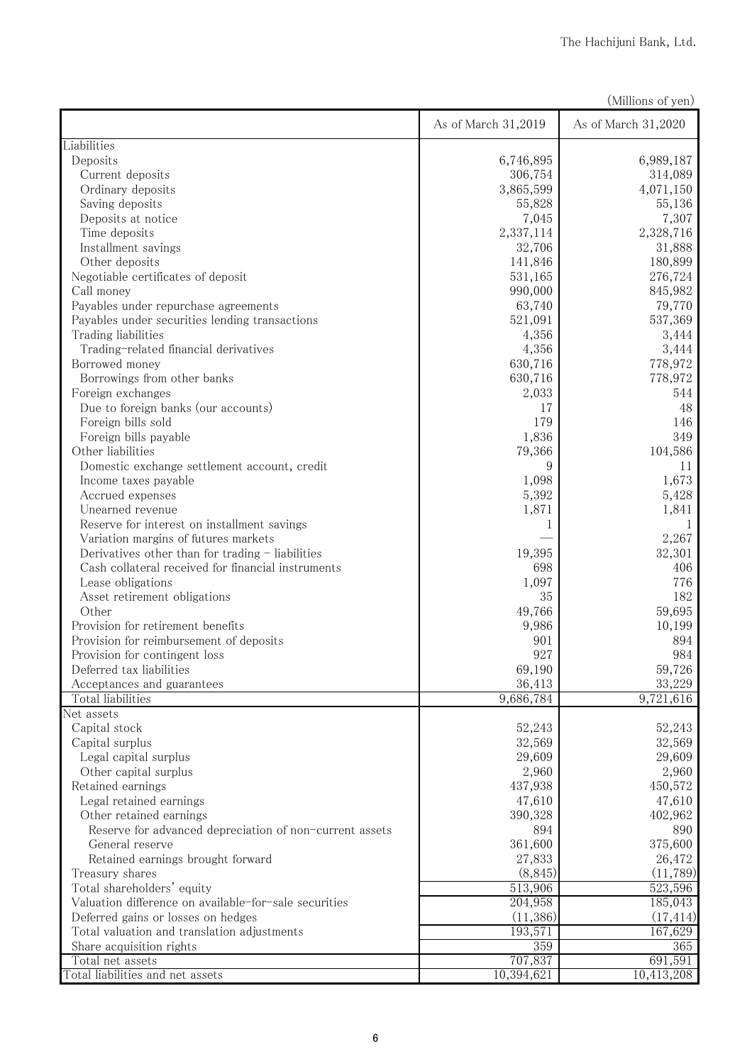|                                                         |                     | (Millions of yen)   |
|---------------------------------------------------------|---------------------|---------------------|
|                                                         | As of March 31,2019 | As of March 31,2020 |
| Liabilities                                             |                     |                     |
| Deposits                                                | 6,746,895           | 6,989,187           |
| Current deposits                                        | 306,754             | 314,089             |
| Ordinary deposits                                       | 3,865,599           | 4,071,150           |
| Saving deposits                                         | 55,828              | 55,136              |
| Deposits at notice                                      | 7,045               | 7,307               |
| Time deposits                                           | 2,337,114           | 2,328,716           |
| Installment savings                                     | 32,706              | 31,888              |
| Other deposits                                          | 141,846             | 180,899             |
| Negotiable certificates of deposit                      | 531,165             | 276,724             |
| Call money                                              | 990,000             | 845,982             |
| Payables under repurchase agreements                    | 63,740              | 79,770              |
| Payables under securities lending transactions          | 521,091             | 537,369             |
| Trading liabilities                                     | 4,356               | 3,444               |
| Trading-related financial derivatives                   | 4,356               | 3,444               |
| Borrowed money                                          | 630,716             | 778,972             |
| Borrowings from other banks                             | 630,716             | 778,972             |
| Foreign exchanges                                       | 2,033               | 544                 |
| Due to foreign banks (our accounts)                     | 17                  | 48                  |
| Foreign bills sold                                      | 179                 | 146<br>349          |
| Foreign bills payable<br>Other liabilities              | 1,836               | 104,586             |
|                                                         | 79,366<br>9         |                     |
| Domestic exchange settlement account, credit            |                     | 11<br>1,673         |
| Income taxes payable                                    | 1,098<br>5,392      | 5,428               |
| Accrued expenses<br>Unearned revenue                    | 1,871               | 1,841               |
| Reserve for interest on installment savings             |                     |                     |
| Variation margins of futures markets                    | 1                   | 2,267               |
| Derivatives other than for trading - liabilities        | 19,395              | 32,301              |
| Cash collateral received for financial instruments      | 698                 | 406                 |
| Lease obligations                                       | 1,097               | 776                 |
| Asset retirement obligations                            | 35                  | 182                 |
| Other                                                   | 49,766              | 59,695              |
| Provision for retirement benefits                       | 9,986               | 10,199              |
| Provision for reimbursement of deposits                 | 901                 | 894                 |
| Provision for contingent loss                           | 927                 | 984                 |
| Deferred tax liabilities                                | 69,190              | 59,726              |
| Acceptances and guarantees                              | 36,413              | 33,229              |
| Total liabilities                                       | 9,686,784           | 9,721,616           |
| Net assets                                              |                     |                     |
| Capital stock                                           | 52,243              | 52,243              |
| Capital surplus                                         | 32,569              | 32,569              |
| Legal capital surplus                                   | 29,609              | 29,609              |
| Other capital surplus                                   | 2,960               | 2,960               |
| Retained earnings                                       | 437,938             | 450,572             |
| Legal retained earnings                                 | 47,610              | 47,610              |
| Other retained earnings                                 | 390,328             | 402,962             |
| Reserve for advanced depreciation of non-current assets | 894                 | 890                 |
| General reserve                                         | 361,600             | 375,600             |
| Retained earnings brought forward                       | 27,833              | 26,472              |
| Treasury shares                                         | (8, 845)            | (11,789)            |
| Total shareholders' equity                              | 513,906             | 523,596             |
| Valuation difference on available-for-sale securities   | 204,958             | 185,043             |
| Deferred gains or losses on hedges                      | (11,386)            | (17, 414)           |
| Total valuation and translation adjustments             | 193,571             | 167,629             |
| Share acquisition rights                                | 359                 | 365                 |
| Total net assets                                        | 707,837             | 691,591             |
| Total liabilities and net assets                        | 10,394,621          | 10,413,208          |